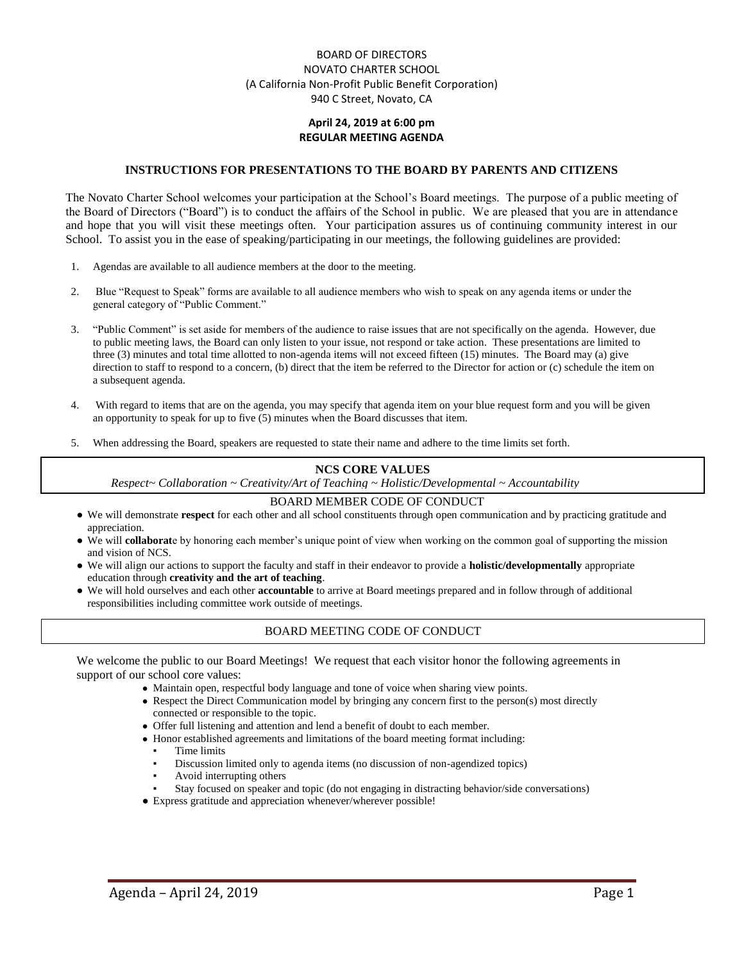### BOARD OF DIRECTORS NOVATO CHARTER SCHOOL (A California Non-Profit Public Benefit Corporation) 940 C Street, Novato, CA

### **April 24, 2019 at 6:00 pm REGULAR MEETING AGENDA**

#### **INSTRUCTIONS FOR PRESENTATIONS TO THE BOARD BY PARENTS AND CITIZENS**

The Novato Charter School welcomes your participation at the School's Board meetings. The purpose of a public meeting of the Board of Directors ("Board") is to conduct the affairs of the School in public. We are pleased that you are in attendance and hope that you will visit these meetings often. Your participation assures us of continuing community interest in our School. To assist you in the ease of speaking/participating in our meetings, the following guidelines are provided:

- 1. Agendas are available to all audience members at the door to the meeting.
- 2. Blue "Request to Speak" forms are available to all audience members who wish to speak on any agenda items or under the general category of "Public Comment."
- 3. "Public Comment" is set aside for members of the audience to raise issues that are not specifically on the agenda. However, due to public meeting laws, the Board can only listen to your issue, not respond or take action. These presentations are limited to three (3) minutes and total time allotted to non-agenda items will not exceed fifteen (15) minutes. The Board may (a) give direction to staff to respond to a concern, (b) direct that the item be referred to the Director for action or (c) schedule the item on a subsequent agenda.
- 4. With regard to items that are on the agenda, you may specify that agenda item on your blue request form and you will be given an opportunity to speak for up to five (5) minutes when the Board discusses that item.
- 5. When addressing the Board, speakers are requested to state their name and adhere to the time limits set forth.

#### **NCS CORE VALUES**

*Respect~ Collaboration ~ Creativity/Art of Teaching ~ Holistic/Developmental ~ Accountability*

#### BOARD MEMBER CODE OF CONDUCT

- We will demonstrate **respect** for each other and all school constituents through open communication and by practicing gratitude and appreciation.
- We will **collaborat**e by honoring each member's unique point of view when working on the common goal of supporting the mission and vision of NCS.
- We will align our actions to support the faculty and staff in their endeavor to provide a **holistic/developmentally** appropriate education through **creativity and the art of teaching**.
- We will hold ourselves and each other **accountable** to arrive at Board meetings prepared and in follow through of additional responsibilities including committee work outside of meetings.

### BOARD MEETING CODE OF CONDUCT

We welcome the public to our Board Meetings! We request that each visitor honor the following agreements in support of our school core values:

- Maintain open, respectful body language and tone of voice when sharing view points.
- Respect the Direct Communication model by bringing any concern first to the person(s) most directly connected or responsible to the topic.
- Offer full listening and attention and lend a benefit of doubt to each member.
- Honor established agreements and limitations of the board meeting format including:
	- Time limits
	- Discussion limited only to agenda items (no discussion of non-agendized topics)
	- Avoid interrupting others
	- Stay focused on speaker and topic (do not engaging in distracting behavior/side conversations)
- Express gratitude and appreciation whenever/wherever possible!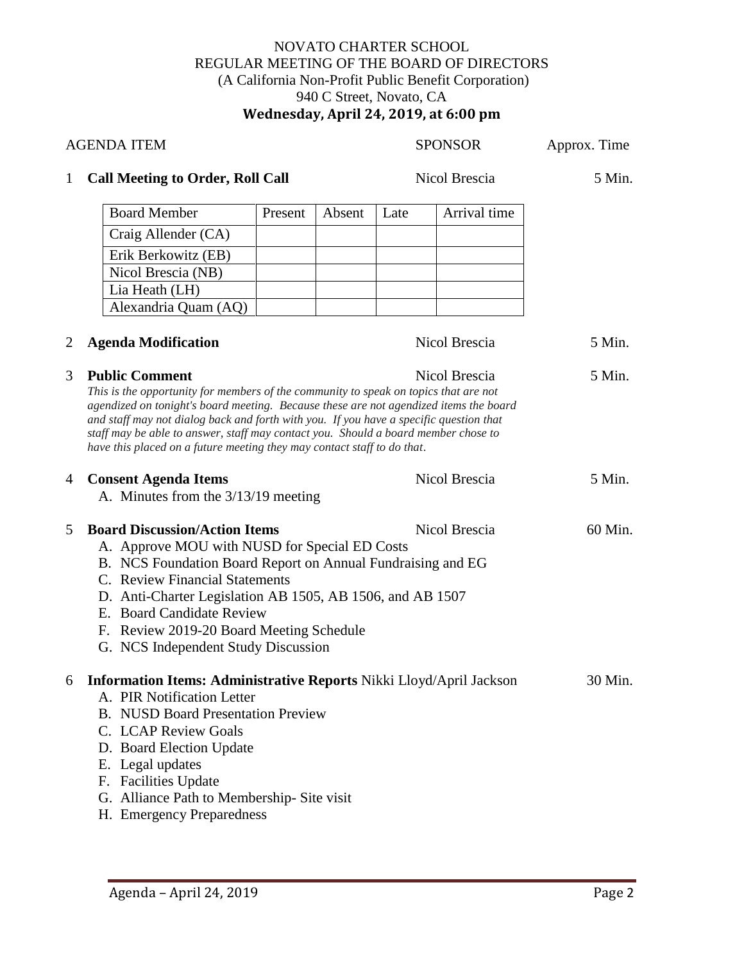## NOVATO CHARTER SCHOOL REGULAR MEETING OF THE BOARD OF DIRECTORS (A California Non-Profit Public Benefit Corporation) 940 C Street, Novato, CA **Wednesday, April 24, 2019, at 6:00 pm**

| <b>AGENDA ITEM</b> |                                                                                                                                                                                                                                                                                                                                                                                                                                                                   |         |        |      | <b>SPONSOR</b> | Approx. Time |
|--------------------|-------------------------------------------------------------------------------------------------------------------------------------------------------------------------------------------------------------------------------------------------------------------------------------------------------------------------------------------------------------------------------------------------------------------------------------------------------------------|---------|--------|------|----------------|--------------|
| $\mathbf{1}$       | <b>Call Meeting to Order, Roll Call</b>                                                                                                                                                                                                                                                                                                                                                                                                                           |         |        |      | Nicol Brescia  | 5 Min.       |
|                    | <b>Board Member</b>                                                                                                                                                                                                                                                                                                                                                                                                                                               | Present | Absent | Late | Arrival time   |              |
|                    | Craig Allender (CA)                                                                                                                                                                                                                                                                                                                                                                                                                                               |         |        |      |                |              |
|                    | Erik Berkowitz (EB)                                                                                                                                                                                                                                                                                                                                                                                                                                               |         |        |      |                |              |
|                    | Nicol Brescia (NB)                                                                                                                                                                                                                                                                                                                                                                                                                                                |         |        |      |                |              |
|                    | Lia Heath (LH)                                                                                                                                                                                                                                                                                                                                                                                                                                                    |         |        |      |                |              |
|                    | Alexandria Quam (AQ)                                                                                                                                                                                                                                                                                                                                                                                                                                              |         |        |      |                |              |
| $\overline{c}$     | <b>Agenda Modification</b>                                                                                                                                                                                                                                                                                                                                                                                                                                        |         |        |      | Nicol Brescia  | 5 Min.       |
| 3                  | <b>Public Comment</b><br>This is the opportunity for members of the community to speak on topics that are not<br>agendized on tonight's board meeting. Because these are not agendized items the board<br>and staff may not dialog back and forth with you. If you have a specific question that<br>staff may be able to answer, staff may contact you. Should a board member chose to<br>have this placed on a future meeting they may contact staff to do that. |         |        |      | Nicol Brescia  | 5 Min.       |
| 4                  | <b>Consent Agenda Items</b><br>A. Minutes from the 3/13/19 meeting                                                                                                                                                                                                                                                                                                                                                                                                |         |        |      | Nicol Brescia  | 5 Min.       |
| 5                  | <b>Board Discussion/Action Items</b><br>A. Approve MOU with NUSD for Special ED Costs<br>B. NCS Foundation Board Report on Annual Fundraising and EG<br>C. Review Financial Statements<br>D. Anti-Charter Legislation AB 1505, AB 1506, and AB 1507<br>E. Board Candidate Review<br>F. Review 2019-20 Board Meeting Schedule<br>G. NCS Independent Study Discussion                                                                                               |         |        |      | Nicol Brescia  | 60 Min.      |
|                    | 6 Information Items: Administrative Reports Nikki Lloyd/April Jackson<br>A. PIR Notification Letter<br><b>B.</b> NUSD Board Presentation Preview<br>C. LCAP Review Goals<br>D. Board Election Update<br>E. Legal updates<br>F. Facilities Update<br>G. Alliance Path to Membership- Site visit<br>H. Emergency Preparedness                                                                                                                                       |         |        |      |                | 30 Min.      |